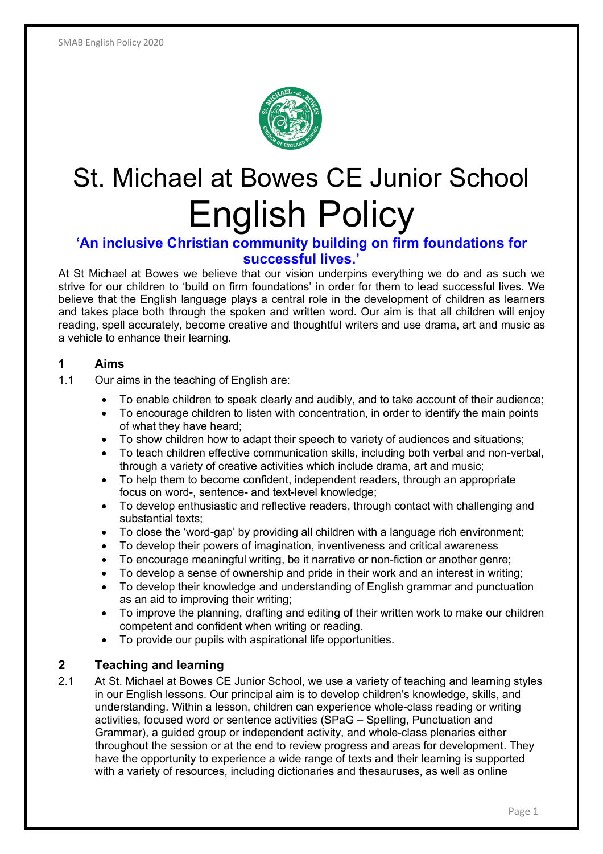

# St. Michael at Bowes CE Junior School English Policy

## **'An inclusive Christian community building on firm foundations for successful lives.'**

At St Michael at Bowes we believe that our vision underpins everything we do and as such we strive for our children to 'build on firm foundations' in order for them to lead successful lives. We believe that the English language plays a central role in the development of children as learners and takes place both through the spoken and written word. Our aim is that all children will enjoy reading, spell accurately, become creative and thoughtful writers and use drama, art and music as a vehicle to enhance their learning.

## **1 Aims**

- 1.1 Our aims in the teaching of English are:
	- To enable children to speak clearly and audibly, and to take account of their audience;
	- To encourage children to listen with concentration, in order to identify the main points of what they have heard;
	- To show children how to adapt their speech to variety of audiences and situations;
	- To teach children effective communication skills, including both verbal and non-verbal, through a variety of creative activities which include drama, art and music;
	- To help them to become confident, independent readers, through an appropriate focus on word-, sentence- and text-level knowledge;
	- To develop enthusiastic and reflective readers, through contact with challenging and substantial texts;
	- To close the 'word-gap' by providing all children with a language rich environment;
	- To develop their powers of imagination, inventiveness and critical awareness
	- To encourage meaningful writing, be it narrative or non-fiction or another genre;
	- To develop a sense of ownership and pride in their work and an interest in writing;
	- To develop their knowledge and understanding of English grammar and punctuation as an aid to improving their writing;
	- To improve the planning, drafting and editing of their written work to make our children competent and confident when writing or reading.
	- To provide our pupils with aspirational life opportunities.

## **2 Teaching and learning**

2.1 At St. Michael at Bowes CE Junior School, we use a variety of teaching and learning styles in our English lessons. Our principal aim is to develop children's knowledge, skills, and understanding. Within a lesson, children can experience whole-class reading or writing activities, focused word or sentence activities (SPaG – Spelling, Punctuation and Grammar), a guided group or independent activity, and whole-class plenaries either throughout the session or at the end to review progress and areas for development. They have the opportunity to experience a wide range of texts and their learning is supported with a variety of resources, including dictionaries and thesauruses, as well as online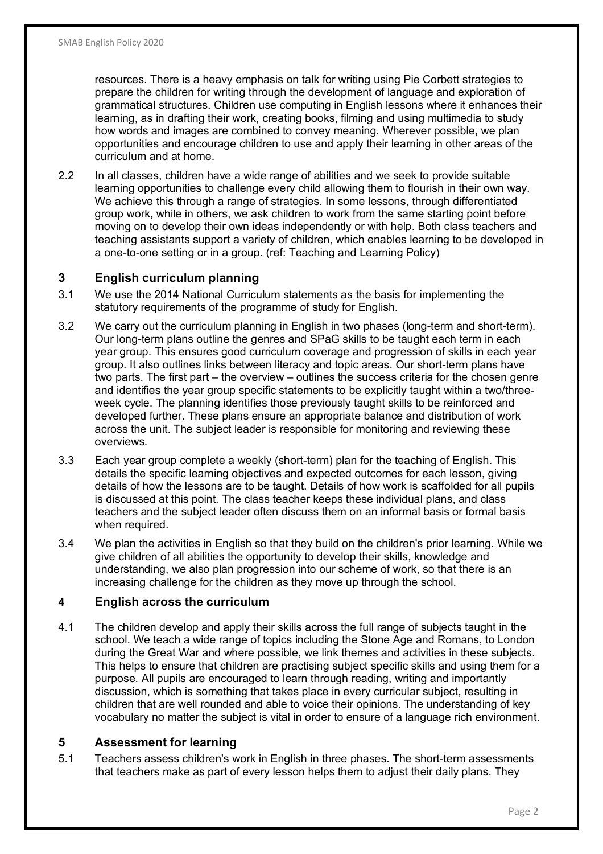resources. There is a heavy emphasis on talk for writing using Pie Corbett strategies to prepare the children for writing through the development of language and exploration of grammatical structures. Children use computing in English lessons where it enhances their learning, as in drafting their work, creating books, filming and using multimedia to study how words and images are combined to convey meaning. Wherever possible, we plan opportunities and encourage children to use and apply their learning in other areas of the curriculum and at home.

2.2 In all classes, children have a wide range of abilities and we seek to provide suitable learning opportunities to challenge every child allowing them to flourish in their own way. We achieve this through a range of strategies. In some lessons, through differentiated group work, while in others, we ask children to work from the same starting point before moving on to develop their own ideas independently or with help. Both class teachers and teaching assistants support a variety of children, which enables learning to be developed in a one-to-one setting or in a group. (ref: Teaching and Learning Policy)

## **3 English curriculum planning**

- 3.1 We use the 2014 National Curriculum statements as the basis for implementing the statutory requirements of the programme of study for English.
- 3.2 We carry out the curriculum planning in English in two phases (long-term and short-term). Our long-term plans outline the genres and SPaG skills to be taught each term in each year group. This ensures good curriculum coverage and progression of skills in each year group. It also outlines links between literacy and topic areas. Our short-term plans have two parts. The first part – the overview – outlines the success criteria for the chosen genre and identifies the year group specific statements to be explicitly taught within a two/threeweek cycle. The planning identifies those previously taught skills to be reinforced and developed further. These plans ensure an appropriate balance and distribution of work across the unit. The subject leader is responsible for monitoring and reviewing these overviews.
- 3.3 Each year group complete a weekly (short-term) plan for the teaching of English. This details the specific learning objectives and expected outcomes for each lesson, giving details of how the lessons are to be taught. Details of how work is scaffolded for all pupils is discussed at this point. The class teacher keeps these individual plans, and class teachers and the subject leader often discuss them on an informal basis or formal basis when required.
- 3.4 We plan the activities in English so that they build on the children's prior learning. While we give children of all abilities the opportunity to develop their skills, knowledge and understanding, we also plan progression into our scheme of work, so that there is an increasing challenge for the children as they move up through the school.

## **4 English across the curriculum**

4.1 The children develop and apply their skills across the full range of subjects taught in the school. We teach a wide range of topics including the Stone Age and Romans, to London during the Great War and where possible, we link themes and activities in these subjects. This helps to ensure that children are practising subject specific skills and using them for a purpose. All pupils are encouraged to learn through reading, writing and importantly discussion, which is something that takes place in every curricular subject, resulting in children that are well rounded and able to voice their opinions. The understanding of key vocabulary no matter the subject is vital in order to ensure of a language rich environment.

## **5 Assessment for learning**

5.1 Teachers assess children's work in English in three phases. The short-term assessments that teachers make as part of every lesson helps them to adjust their daily plans. They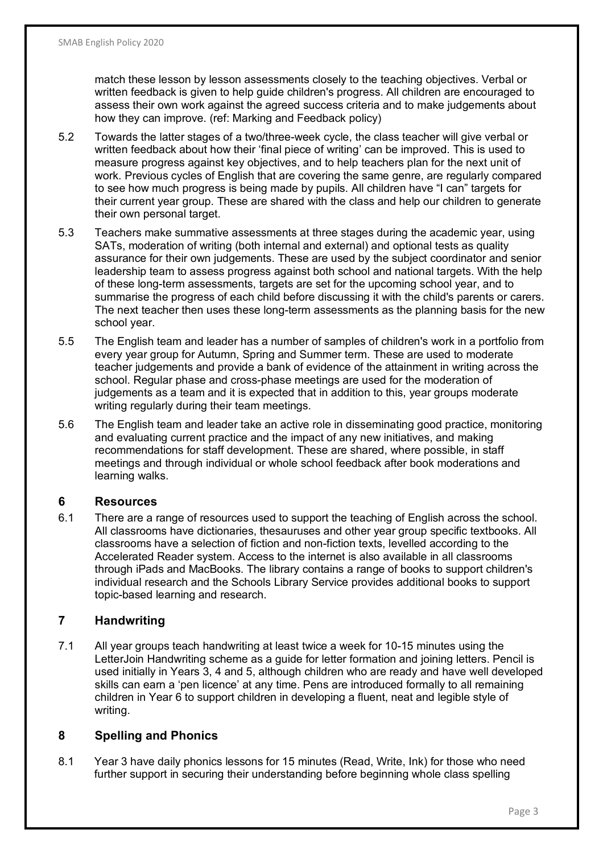match these lesson by lesson assessments closely to the teaching objectives. Verbal or written feedback is given to help guide children's progress. All children are encouraged to assess their own work against the agreed success criteria and to make judgements about how they can improve. (ref: Marking and Feedback policy)

- 5.2 Towards the latter stages of a two/three-week cycle, the class teacher will give verbal or written feedback about how their 'final piece of writing' can be improved. This is used to measure progress against key objectives, and to help teachers plan for the next unit of work. Previous cycles of English that are covering the same genre, are regularly compared to see how much progress is being made by pupils. All children have "I can" targets for their current year group. These are shared with the class and help our children to generate their own personal target.
- 5.3 Teachers make summative assessments at three stages during the academic year, using SATs, moderation of writing (both internal and external) and optional tests as quality assurance for their own judgements. These are used by the subject coordinator and senior leadership team to assess progress against both school and national targets. With the help of these long-term assessments, targets are set for the upcoming school year, and to summarise the progress of each child before discussing it with the child's parents or carers. The next teacher then uses these long-term assessments as the planning basis for the new school year.
- 5.5 The English team and leader has a number of samples of children's work in a portfolio from every year group for Autumn, Spring and Summer term. These are used to moderate teacher judgements and provide a bank of evidence of the attainment in writing across the school. Regular phase and cross-phase meetings are used for the moderation of judgements as a team and it is expected that in addition to this, year groups moderate writing regularly during their team meetings.
- 5.6 The English team and leader take an active role in disseminating good practice, monitoring and evaluating current practice and the impact of any new initiatives, and making recommendations for staff development. These are shared, where possible, in staff meetings and through individual or whole school feedback after book moderations and learning walks.

## **6 Resources**

6.1 There are a range of resources used to support the teaching of English across the school. All classrooms have dictionaries, thesauruses and other year group specific textbooks. All classrooms have a selection of fiction and non-fiction texts, levelled according to the Accelerated Reader system. Access to the internet is also available in all classrooms through iPads and MacBooks. The library contains a range of books to support children's individual research and the Schools Library Service provides additional books to support topic-based learning and research.

## **7 Handwriting**

7.1 All year groups teach handwriting at least twice a week for 10-15 minutes using the LetterJoin Handwriting scheme as a guide for letter formation and joining letters. Pencil is used initially in Years 3, 4 and 5, although children who are ready and have well developed skills can earn a 'pen licence' at any time. Pens are introduced formally to all remaining children in Year 6 to support children in developing a fluent, neat and legible style of writing.

## **8 Spelling and Phonics**

8.1 Year 3 have daily phonics lessons for 15 minutes (Read, Write, Ink) for those who need further support in securing their understanding before beginning whole class spelling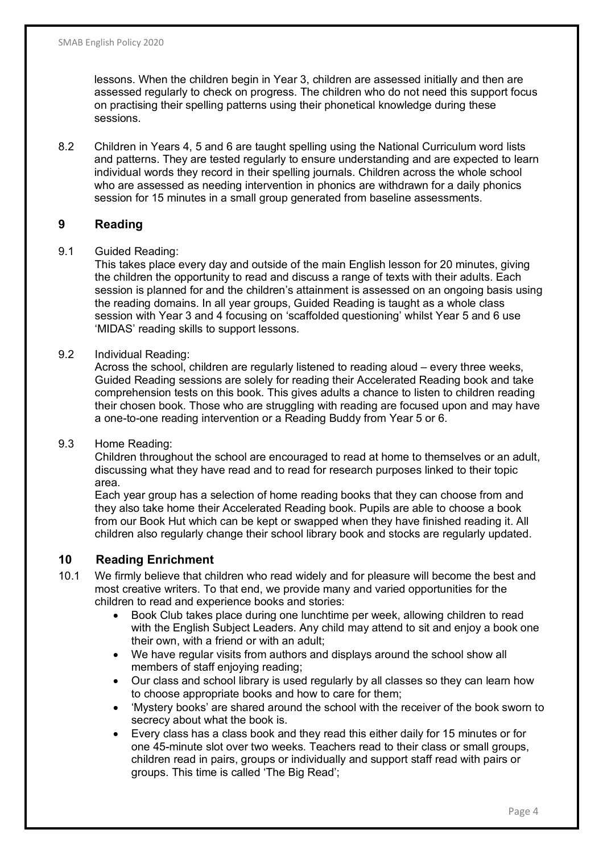lessons. When the children begin in Year 3, children are assessed initially and then are assessed regularly to check on progress. The children who do not need this support focus on practising their spelling patterns using their phonetical knowledge during these sessions.

8.2 Children in Years 4, 5 and 6 are taught spelling using the National Curriculum word lists and patterns. They are tested regularly to ensure understanding and are expected to learn individual words they record in their spelling journals. Children across the whole school who are assessed as needing intervention in phonics are withdrawn for a daily phonics session for 15 minutes in a small group generated from baseline assessments.

## **9 Reading**

#### 9.1 Guided Reading:

This takes place every day and outside of the main English lesson for 20 minutes, giving the children the opportunity to read and discuss a range of texts with their adults. Each session is planned for and the children's attainment is assessed on an ongoing basis using the reading domains. In all year groups, Guided Reading is taught as a whole class session with Year 3 and 4 focusing on 'scaffolded questioning' whilst Year 5 and 6 use 'MIDAS' reading skills to support lessons.

#### 9.2 Individual Reading:

Across the school, children are regularly listened to reading aloud – every three weeks, Guided Reading sessions are solely for reading their Accelerated Reading book and take comprehension tests on this book. This gives adults a chance to listen to children reading their chosen book. Those who are struggling with reading are focused upon and may have a one-to-one reading intervention or a Reading Buddy from Year 5 or 6.

## 9.3 Home Reading:

Children throughout the school are encouraged to read at home to themselves or an adult, discussing what they have read and to read for research purposes linked to their topic area.

Each year group has a selection of home reading books that they can choose from and they also take home their Accelerated Reading book. Pupils are able to choose a book from our Book Hut which can be kept or swapped when they have finished reading it. All children also regularly change their school library book and stocks are regularly updated.

## **10 Reading Enrichment**

- 10.1 We firmly believe that children who read widely and for pleasure will become the best and most creative writers. To that end, we provide many and varied opportunities for the children to read and experience books and stories:
	- Book Club takes place during one lunchtime per week, allowing children to read with the English Subject Leaders. Any child may attend to sit and enjoy a book one their own, with a friend or with an adult;
	- We have regular visits from authors and displays around the school show all members of staff enjoying reading;
	- Our class and school library is used regularly by all classes so they can learn how to choose appropriate books and how to care for them;
	- 'Mystery books' are shared around the school with the receiver of the book sworn to secrecy about what the book is.
	- Every class has a class book and they read this either daily for 15 minutes or for one 45-minute slot over two weeks. Teachers read to their class or small groups, children read in pairs, groups or individually and support staff read with pairs or groups. This time is called 'The Big Read';